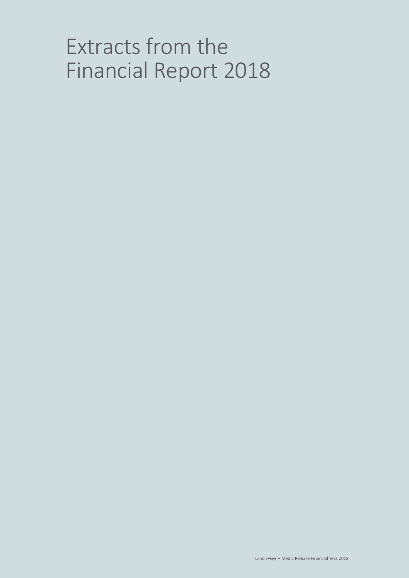# Extracts from the Financial Report 2018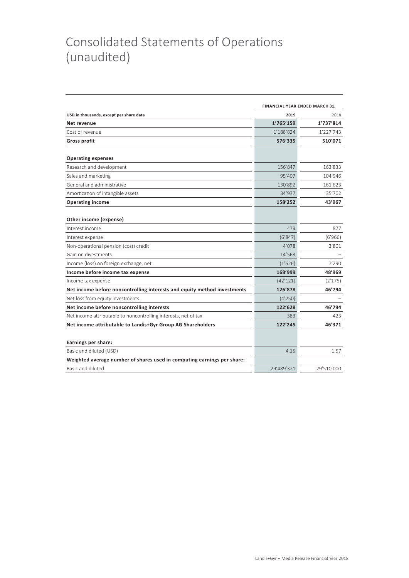### Consolidated Statements of Operations (unaudited)

|                                                                          |            | FINANCIAL YEAR ENDED MARCH 31, |  |  |  |
|--------------------------------------------------------------------------|------------|--------------------------------|--|--|--|
| USD in thousands, except per share data                                  | 2019       | 2018                           |  |  |  |
| Net revenue                                                              | 1'765'159  | 1'737'814                      |  |  |  |
| Cost of revenue                                                          | 1'188'824  | 1'227'743                      |  |  |  |
| <b>Gross profit</b>                                                      | 576'335    | 510'071                        |  |  |  |
| <b>Operating expenses</b>                                                |            |                                |  |  |  |
| Research and development                                                 | 156'847    | 163'833                        |  |  |  |
| Sales and marketing                                                      | 95'407     | 104'946                        |  |  |  |
| General and administrative                                               | 130'892    | 161'623                        |  |  |  |
| Amortization of intangible assets                                        | 34'937     | 35'702                         |  |  |  |
| <b>Operating income</b>                                                  | 158'252    | 43'967                         |  |  |  |
| Other income (expense)                                                   |            |                                |  |  |  |
| Interest income                                                          | 479        | 877                            |  |  |  |
| Interest expense                                                         | (6'847)    | (6'966)                        |  |  |  |
| Non-operational pension (cost) credit                                    | 4'078      | 3'801                          |  |  |  |
| Gain on divestments                                                      | 14'563     |                                |  |  |  |
| Income (loss) on foreign exchange, net                                   | (1'526)    | 7'290                          |  |  |  |
| Income before income tax expense                                         | 168'999    | 48'969                         |  |  |  |
| Income tax expense                                                       | (42'121)   | (2'175)                        |  |  |  |
| Net income before noncontrolling interests and equity method investments | 126'878    | 46'794                         |  |  |  |
| Net loss from equity investments                                         | (4'250)    |                                |  |  |  |
| Net income before noncontrolling interests                               | 122'628    | 46'794                         |  |  |  |
| Net income attributable to noncontrolling interests, net of tax          | 383        | 423                            |  |  |  |
| Net income attributable to Landis+Gyr Group AG Shareholders              | 122'245    | 46'371                         |  |  |  |
| Earnings per share:                                                      |            |                                |  |  |  |
| Basic and diluted (USD)                                                  | 4.15       | 1.57                           |  |  |  |
| Weighted average number of shares used in computing earnings per share:  |            |                                |  |  |  |
| Basic and diluted                                                        | 29'489'321 | 29'510'000                     |  |  |  |
|                                                                          |            |                                |  |  |  |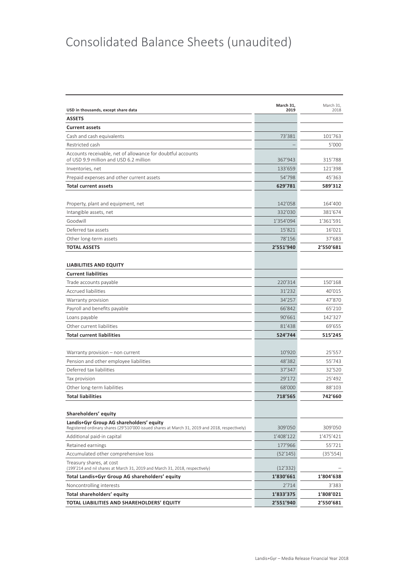## Consolidated Balance Sheets (unaudited)

| USD in thousands, except share data                                                                                                        | March 31,<br>2019 | March 31.<br>2018 |
|--------------------------------------------------------------------------------------------------------------------------------------------|-------------------|-------------------|
| <b>ASSETS</b>                                                                                                                              |                   |                   |
| <b>Current assets</b>                                                                                                                      |                   |                   |
| Cash and cash equivalents                                                                                                                  | 73'381            | 101'763           |
| Restricted cash                                                                                                                            |                   | 5'000             |
| Accounts receivable, net of allowance for doubtful accounts<br>of USD 9.9 million and USD 6.2 million                                      | 367'943           | 315'788           |
| Inventories, net                                                                                                                           | 133'659           | 121'398           |
| Prepaid expenses and other current assets                                                                                                  | 54'798            | 45'363            |
| <b>Total current assets</b>                                                                                                                | 629'781           | 589'312           |
|                                                                                                                                            |                   |                   |
| Property, plant and equipment, net                                                                                                         | 142'058           | 164'400           |
| Intangible assets, net                                                                                                                     | 332'030           | 381'674           |
| Goodwill                                                                                                                                   | 1'354'094         | 1'361'591         |
| Deferred tax assets                                                                                                                        | 15'821            | 16'021            |
| Other long-term assets                                                                                                                     | 78'156            | 37'683            |
| <b>TOTAL ASSETS</b>                                                                                                                        | 2'551'940         | 2'550'681         |
|                                                                                                                                            |                   |                   |
| <b>LIABILITIES AND EQUITY</b>                                                                                                              |                   |                   |
| <b>Current liabilities</b>                                                                                                                 |                   |                   |
| Trade accounts payable                                                                                                                     | 220'314           | 150'168           |
| <b>Accrued liabilities</b>                                                                                                                 | 31'232            | 40'015            |
| Warranty provision                                                                                                                         | 34'257            | 47'870            |
| Payroll and benefits payable                                                                                                               | 66'842            | 65'210            |
| Loans payable                                                                                                                              | 90'661            | 142'327           |
| Other current liabilities                                                                                                                  | 81'438            | 69'655            |
| <b>Total current liabilities</b>                                                                                                           | 524'744           | 515'245           |
|                                                                                                                                            |                   |                   |
| Warranty provision – non current                                                                                                           | 10'920            | 25'557            |
| Pension and other employee liabilities                                                                                                     | 48'382            | 55'743            |
| Deferred tax liabilities                                                                                                                   | 37'347            | 32'520            |
| Tax provision                                                                                                                              | 29'172            | 25'492            |
| Other long-term liabilities                                                                                                                | 68'000            | 88'103            |
| <b>Total liabilities</b>                                                                                                                   | 718'565           | 742'660           |
|                                                                                                                                            |                   |                   |
| Shareholders' equity                                                                                                                       |                   |                   |
| Landis+Gyr Group AG shareholders' equity<br>Registered ordinary shares (29'510'000 issued shares at March 31, 2019 and 2018, respectively) | 309'050           | 309'050           |
| Additional paid-in capital                                                                                                                 | 1'408'122         | 1'475'421         |
| Retained earnings                                                                                                                          | 177'966           | 55'721            |
| Accumulated other comprehensive loss                                                                                                       | (52'145)          | (35'554)          |
| Treasury shares, at cost<br>(199'214 and nil shares at March 31, 2019 and March 31, 2018, respectively)                                    | (12'332)          |                   |
| Total Landis+Gyr Group AG shareholders' equity                                                                                             | 1'830'661         | 1'804'638         |
| Noncontrolling interests                                                                                                                   | 2'714             | 3'383             |
| Total shareholders' equity                                                                                                                 | 1'833'375         | 1'808'021         |
| TOTAL LIABILITIES AND SHAREHOLDERS' EQUITY                                                                                                 | 2'551'940         | 2'550'681         |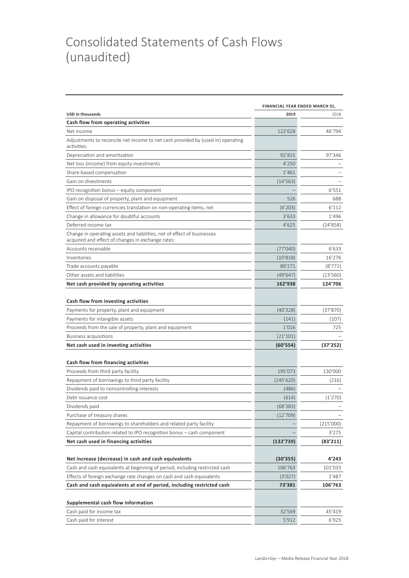### Consolidated Statements of Cash Flows (unaudited)

|                                                                                                                              | <b>FINANCIAL YEAR ENDED MARCH 31,</b> |           |  |  |
|------------------------------------------------------------------------------------------------------------------------------|---------------------------------------|-----------|--|--|
| <b>USD in thousands</b>                                                                                                      | 2019                                  | 2018      |  |  |
| Cash flow from operating activities                                                                                          |                                       |           |  |  |
| Net income                                                                                                                   | 122'628                               | 46'794    |  |  |
| Adjustments to reconcile net income to net cash provided by (used in) operating<br>activities:                               |                                       |           |  |  |
| Depreciation and amortization                                                                                                | 92'815                                | 97'346    |  |  |
| Net loss (income) from equity investments                                                                                    | 4'250                                 |           |  |  |
| Share-based compensation                                                                                                     | 1'461                                 |           |  |  |
| Gain on divestments                                                                                                          | (14'563)                              |           |  |  |
| IPO recognition bonus - equity component                                                                                     |                                       | 6'551     |  |  |
| Gain on disposal of property, plant and equipment                                                                            | 526                                   | 688       |  |  |
| Effect of foreign currencies translation on non-operating items, net                                                         | (4'203)                               | 6'112     |  |  |
| Change in allowance for doubtful accounts                                                                                    | 3'633                                 | 1'496     |  |  |
| Deferred income tax                                                                                                          | 4'625                                 | (24'858)  |  |  |
| Change in operating assets and liabilities, net of effect of businesses<br>acquired and effect of changes in exchange rates: |                                       |           |  |  |
| Accounts receivable                                                                                                          | (77'040)                              | 6'633     |  |  |
| Inventories                                                                                                                  | (10'818)                              | 16'276    |  |  |
| Trade accounts payable                                                                                                       | 89'271                                | (8'772)   |  |  |
| Other assets and liabilities                                                                                                 | (49'647)                              | (23'560)  |  |  |
| Net cash provided by operating activities                                                                                    | 162'938                               | 124'706   |  |  |
| Cash flow from investing activities                                                                                          |                                       |           |  |  |
| Payments for property, plant and equipment                                                                                   | (40'328)                              | (37'870)  |  |  |
| Payments for intangible assets                                                                                               | (141)                                 | (107)     |  |  |
| Proceeds from the sale of property, plant and equipment                                                                      | 1'016                                 | 725       |  |  |
| <b>Business acquisitions</b>                                                                                                 | (21'101)                              |           |  |  |
| Net cash used in investing activities                                                                                        | (60'554)                              | (37'252)  |  |  |
| Cash flow from financing activities                                                                                          |                                       |           |  |  |
| Proceeds from third party facility                                                                                           | 195'073                               | 130'000   |  |  |
| Repayment of borrowings to third party facility                                                                              | (245'620)                             | (216)     |  |  |
| Dividends paid to noncontrolling interests                                                                                   | (486)                                 |           |  |  |
| Debt issuance cost                                                                                                           | (614)                                 | (1'270)   |  |  |
| Dividends paid                                                                                                               | (68'383)                              |           |  |  |
| Purchase of treasury shares                                                                                                  | (12'709)                              |           |  |  |
| Repayment of borrowings to shareholders and related party facility                                                           |                                       | (215'000) |  |  |
| Capital contribution related to IPO recognition bonus – cash component                                                       |                                       | 3'275     |  |  |
| Net cash used in financing activities                                                                                        | (132'739)                             | (83'211)  |  |  |
|                                                                                                                              |                                       |           |  |  |
| Net increase (decrease) in cash and cash equivalents                                                                         | (30'355)                              | 4'243     |  |  |
| Cash and cash equivalents at beginning of period, including restricted cash                                                  | 106'763                               | 101'033   |  |  |
| Effects of foreign exchange rate changes on cash and cash equivalents                                                        | (3'027)                               | 1'487     |  |  |
| Cash and cash equivalents at end of period, including restricted cash                                                        | 73'381                                | 106'763   |  |  |
| Supplemental cash flow information                                                                                           |                                       |           |  |  |
| Cash paid for income tax                                                                                                     | 32'569                                | 45'419    |  |  |
| Cash paid for interest                                                                                                       | 5'912                                 | 6'925     |  |  |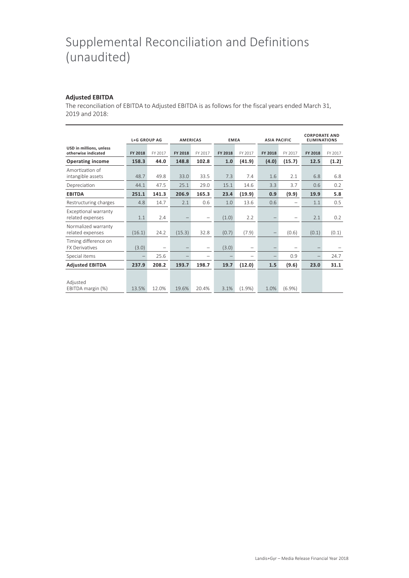### Supplemental Reconciliation and Definitions (unaudited)

#### **Adjusted EBITDA**

The reconciliation of EBITDA to Adjusted EBITDA is as follows for the fiscal years ended March 31, 2019 and 2018:

|                                                | <b>L+G GROUP AG</b> |                          | <b>AMERICAS</b> |                          | <b>EMEA</b>    |                   | <b>ASIA PACIFIC</b> |         | <b>CORPORATE AND</b><br><b>ELIMINATIONS</b> |         |
|------------------------------------------------|---------------------|--------------------------|-----------------|--------------------------|----------------|-------------------|---------------------|---------|---------------------------------------------|---------|
| USD in millions, unless<br>otherwise indicated | FY 2018             | FY 2017                  | FY 2018         | FY 2017                  | <b>FY 2018</b> | FY 2017           | <b>FY 2018</b>      | FY 2017 | <b>FY 2018</b>                              | FY 2017 |
| <b>Operating income</b>                        | 158.3               | 44.0                     | 148.8           | 102.8                    | 1.0            | (41.9)            | (4.0)               | (15.7)  | 12.5                                        | (1.2)   |
| Amortization of<br>intangible assets           | 48.7                | 49.8                     | 33.0            | 33.5                     | 7.3            | 7.4               | 1.6                 | 2.1     | 6.8                                         | 6.8     |
| Depreciation                                   | 44.1                | 47.5                     | 25.1            | 29.0                     | 15.1           | 14.6              | 3.3                 | 3.7     | 0.6                                         | 0.2     |
| <b>EBITDA</b>                                  | 251.1               | 141.3                    | 206.9           | 165.3                    | 23.4           | (19.9)            | 0.9                 | (9.9)   | 19.9                                        | 5.8     |
| Restructuring charges                          | 4.8                 | 14.7                     | 2.1             | 0.6                      | 1.0            | 13.6              | 0.6                 |         | 1.1                                         | 0.5     |
| Exceptional warranty<br>related expenses       | 1.1                 | 2.4                      |                 | $\overline{\phantom{m}}$ | (1.0)          | 2.2               |                     |         | 2.1                                         | 0.2     |
| Normalized warranty<br>related expenses        | (16.1)              | 24.2                     | (15.3)          | 32.8                     | (0.7)          | (7.9)             |                     | (0.6)   | (0.1)                                       | (0.1)   |
| Timing difference on<br><b>FX Derivatives</b>  | (3.0)               | $\overline{\phantom{m}}$ |                 | -                        | (3.0)          | $\qquad \qquad -$ |                     |         |                                             |         |
| Special items                                  |                     | 25.6                     |                 | -                        |                |                   |                     | 0.9     |                                             | 24.7    |
| <b>Adjusted EBITDA</b>                         | 237.9               | 208.2                    | 193.7           | 198.7                    | 19.7           | (12.0)            | 1.5                 | (9.6)   | 23.0                                        | 31.1    |
| Adjusted<br>EBITDA margin (%)                  | 13.5%               | 12.0%                    | 19.6%           | 20.4%                    | 3.1%           | (1.9%             | 1.0%                | (6.9%)  |                                             |         |